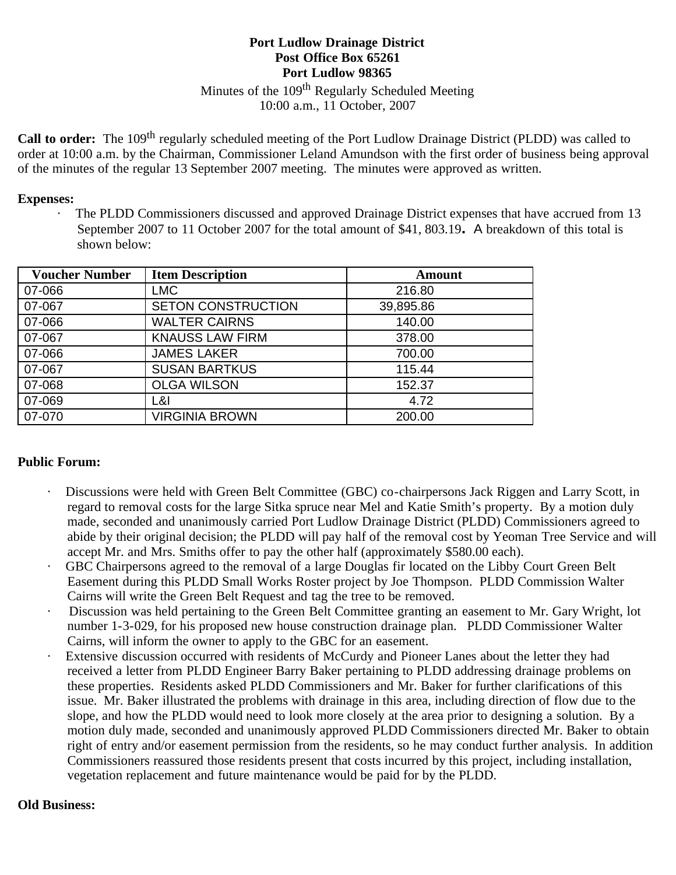## **Port Ludlow Drainage District Post Office Box 65261 Port Ludlow 98365**

Minutes of the 109<sup>th</sup> Regularly Scheduled Meeting 10:00 a.m., 11 October, 2007

**Call to order:** The 109<sup>th</sup> regularly scheduled meeting of the Port Ludlow Drainage District (PLDD) was called to order at 10:00 a.m. by the Chairman, Commissioner Leland Amundson with the first order of business being approval of the minutes of the regular 13 September 2007 meeting. The minutes were approved as written.

#### **Expenses:**

The PLDD Commissioners discussed and approved Drainage District expenses that have accrued from 13 September 2007 to 11 October 2007 for the total amount of \$41, 803.19. A breakdown of this total is shown below:

| <b>Voucher Number</b> | <b>Item Description</b>   | <b>Amount</b> |
|-----------------------|---------------------------|---------------|
| 07-066                | <b>LMC</b>                | 216.80        |
| 07-067                | <b>SETON CONSTRUCTION</b> | 39,895.86     |
| 07-066                | <b>WALTER CAIRNS</b>      | 140.00        |
| 07-067                | <b>KNAUSS LAW FIRM</b>    | 378.00        |
| 07-066                | <b>JAMES LAKER</b>        | 700.00        |
| 07-067                | <b>SUSAN BARTKUS</b>      | 115.44        |
| 07-068                | <b>OLGA WILSON</b>        | 152.37        |
| 07-069                | L&I                       | 4.72          |
| 07-070                | <b>VIRGINIA BROWN</b>     | 200.00        |

### **Public Forum:**

- · Discussions were held with Green Belt Committee (GBC) co-chairpersons Jack Riggen and Larry Scott, in regard to removal costs for the large Sitka spruce near Mel and Katie Smith's property. By a motion duly made, seconded and unanimously carried Port Ludlow Drainage District (PLDD) Commissioners agreed to abide by their original decision; the PLDD will pay half of the removal cost by Yeoman Tree Service and will accept Mr. and Mrs. Smiths offer to pay the other half (approximately \$580.00 each).
- · GBC Chairpersons agreed to the removal of a large Douglas fir located on the Libby Court Green Belt Easement during this PLDD Small Works Roster project by Joe Thompson. PLDD Commission Walter Cairns will write the Green Belt Request and tag the tree to be removed.
- · Discussion was held pertaining to the Green Belt Committee granting an easement to Mr. Gary Wright, lot number 1-3-029, for his proposed new house construction drainage plan. PLDD Commissioner Walter Cairns, will inform the owner to apply to the GBC for an easement.
- · Extensive discussion occurred with residents of McCurdy and Pioneer Lanes about the letter they had received a letter from PLDD Engineer Barry Baker pertaining to PLDD addressing drainage problems on these properties. Residents asked PLDD Commissioners and Mr. Baker for further clarifications of this issue. Mr. Baker illustrated the problems with drainage in this area, including direction of flow due to the slope, and how the PLDD would need to look more closely at the area prior to designing a solution. By a motion duly made, seconded and unanimously approved PLDD Commissioners directed Mr. Baker to obtain right of entry and/or easement permission from the residents, so he may conduct further analysis. In addition Commissioners reassured those residents present that costs incurred by this project, including installation, vegetation replacement and future maintenance would be paid for by the PLDD.

### **Old Business:**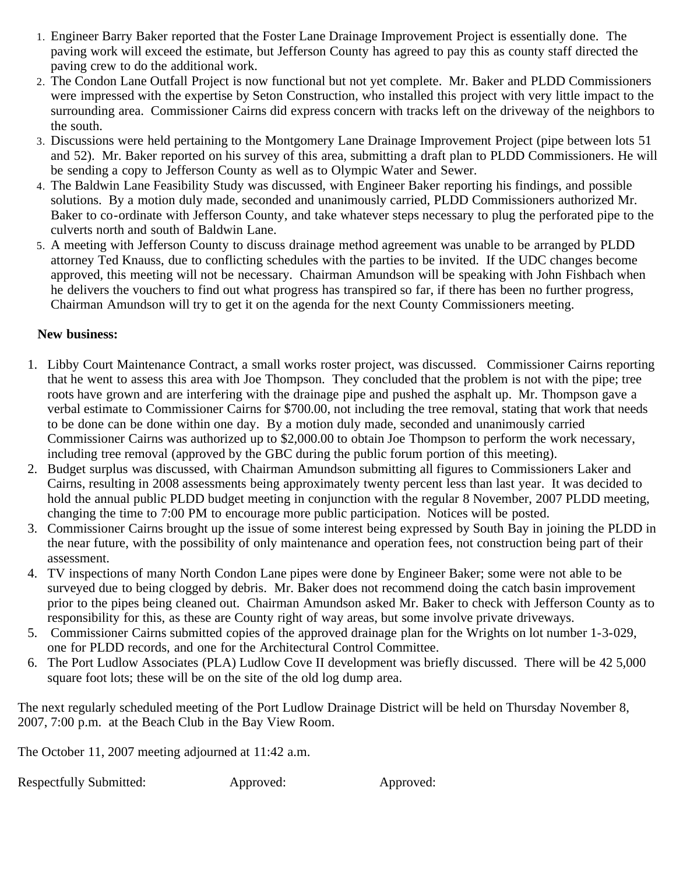- 1. Engineer Barry Baker reported that the Foster Lane Drainage Improvement Project is essentially done. The paving work will exceed the estimate, but Jefferson County has agreed to pay this as county staff directed the paving crew to do the additional work.
- 2. The Condon Lane Outfall Project is now functional but not yet complete. Mr. Baker and PLDD Commissioners were impressed with the expertise by Seton Construction, who installed this project with very little impact to the surrounding area. Commissioner Cairns did express concern with tracks left on the driveway of the neighbors to the south.
- 3. Discussions were held pertaining to the Montgomery Lane Drainage Improvement Project (pipe between lots 51 and 52). Mr. Baker reported on his survey of this area, submitting a draft plan to PLDD Commissioners. He will be sending a copy to Jefferson County as well as to Olympic Water and Sewer.
- 4. The Baldwin Lane Feasibility Study was discussed, with Engineer Baker reporting his findings, and possible solutions. By a motion duly made, seconded and unanimously carried, PLDD Commissioners authorized Mr. Baker to co-ordinate with Jefferson County, and take whatever steps necessary to plug the perforated pipe to the culverts north and south of Baldwin Lane.
- 5. A meeting with Jefferson County to discuss drainage method agreement was unable to be arranged by PLDD attorney Ted Knauss, due to conflicting schedules with the parties to be invited. If the UDC changes become approved, this meeting will not be necessary. Chairman Amundson will be speaking with John Fishbach when he delivers the vouchers to find out what progress has transpired so far, if there has been no further progress, Chairman Amundson will try to get it on the agenda for the next County Commissioners meeting.

# **New business:**

- 1. Libby Court Maintenance Contract, a small works roster project, was discussed. Commissioner Cairns reporting that he went to assess this area with Joe Thompson. They concluded that the problem is not with the pipe; tree roots have grown and are interfering with the drainage pipe and pushed the asphalt up. Mr. Thompson gave a verbal estimate to Commissioner Cairns for \$700.00, not including the tree removal, stating that work that needs to be done can be done within one day. By a motion duly made, seconded and unanimously carried Commissioner Cairns was authorized up to \$2,000.00 to obtain Joe Thompson to perform the work necessary, including tree removal (approved by the GBC during the public forum portion of this meeting).
- 2. Budget surplus was discussed, with Chairman Amundson submitting all figures to Commissioners Laker and Cairns, resulting in 2008 assessments being approximately twenty percent less than last year. It was decided to hold the annual public PLDD budget meeting in conjunction with the regular 8 November, 2007 PLDD meeting, changing the time to 7:00 PM to encourage more public participation. Notices will be posted.
- 3. Commissioner Cairns brought up the issue of some interest being expressed by South Bay in joining the PLDD in the near future, with the possibility of only maintenance and operation fees, not construction being part of their assessment.
- 4. TV inspections of many North Condon Lane pipes were done by Engineer Baker; some were not able to be surveyed due to being clogged by debris. Mr. Baker does not recommend doing the catch basin improvement prior to the pipes being cleaned out. Chairman Amundson asked Mr. Baker to check with Jefferson County as to responsibility for this, as these are County right of way areas, but some involve private driveways.
- 5. Commissioner Cairns submitted copies of the approved drainage plan for the Wrights on lot number 1-3-029, one for PLDD records, and one for the Architectural Control Committee.
- 6. The Port Ludlow Associates (PLA) Ludlow Cove II development was briefly discussed. There will be 42 5,000 square foot lots; these will be on the site of the old log dump area.

The next regularly scheduled meeting of the Port Ludlow Drainage District will be held on Thursday November 8, 2007, 7:00 p.m. at the Beach Club in the Bay View Room.

The October 11, 2007 meeting adjourned at 11:42 a.m.

Respectfully Submitted: Approved: Approved: Approved: